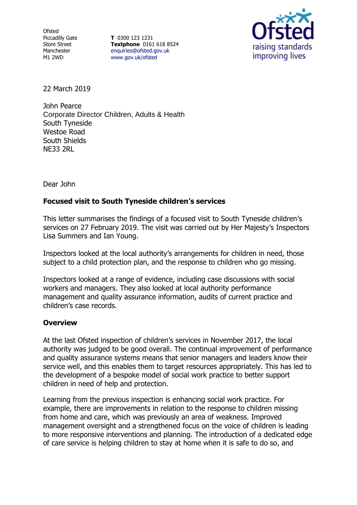**Ofsted** Piccadilly Gate Store Street Manchester M1 2WD

**T** 0300 123 1231 **Textphone** 0161 618 8524 [enquiries@ofsted.gov.uk](file:///D:/LIBREOFFICETEMP/enquiries@ofsted.gov.uk) [www.gov.uk/ofsted](file:///D:/LIBREOFFICETEMP/www.gov.uk/ofsted)



22 March 2019

John Pearce Corporate Director Children, Adults & Health South Tyneside Westoe Road South Shields NE33 2RL

Dear John

## **Focused visit to South Tyneside children's services**

This letter summarises the findings of a focused visit to South Tyneside children's services on 27 February 2019. The visit was carried out by Her Majesty's Inspectors Lisa Summers and Ian Young.

Inspectors looked at the local authority's arrangements for children in need, those subject to a child protection plan, and the response to children who go missing.

Inspectors looked at a range of evidence, including case discussions with social workers and managers. They also looked at local authority performance management and quality assurance information, audits of current practice and children's case records.

## **Overview**

At the last Ofsted inspection of children's services in November 2017, the local authority was judged to be good overall. The continual improvement of performance and quality assurance systems means that senior managers and leaders know their service well, and this enables them to target resources appropriately. This has led to the development of a bespoke model of social work practice to better support children in need of help and protection.

Learning from the previous inspection is enhancing social work practice. For example, there are improvements in relation to the response to children missing from home and care, which was previously an area of weakness. Improved management oversight and a strengthened focus on the voice of children is leading to more responsive interventions and planning. The introduction of a dedicated edge of care service is helping children to stay at home when it is safe to do so, and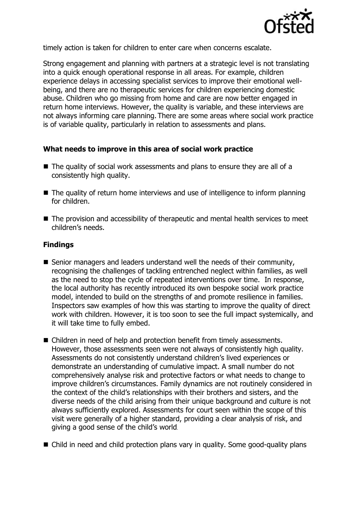

timely action is taken for children to enter care when concerns escalate.

Strong engagement and planning with partners at a strategic level is not translating into a quick enough operational response in all areas. For example, children experience delays in accessing specialist services to improve their emotional wellbeing, and there are no therapeutic services for children experiencing domestic abuse. Children who go missing from home and care are now better engaged in return home interviews. However, the quality is variable, and these interviews are not always informing care planning. There are some areas where social work practice is of variable quality, particularly in relation to assessments and plans.

## **What needs to improve in this area of social work practice**

- The quality of social work assessments and plans to ensure they are all of a consistently high quality.
- The quality of return home interviews and use of intelligence to inform planning for children.
- The provision and accessibility of therapeutic and mental health services to meet children's needs.

## **Findings**

- Senior managers and leaders understand well the needs of their community, recognising the challenges of tackling entrenched neglect within families, as well as the need to stop the cycle of repeated interventions over time. In response, the local authority has recently introduced its own bespoke social work practice model, intended to build on the strengths of and promote resilience in families. Inspectors saw examples of how this was starting to improve the quality of direct work with children. However, it is too soon to see the full impact systemically, and it will take time to fully embed.
- Children in need of help and protection benefit from timely assessments. However, those assessments seen were not always of consistently high quality. Assessments do not consistently understand children's lived experiences or demonstrate an understanding of cumulative impact. A small number do not comprehensively analyse risk and protective factors or what needs to change to improve children's circumstances. Family dynamics are not routinely considered in the context of the child's relationships with their brothers and sisters, and the diverse needs of the child arising from their unique background and culture is not always sufficiently explored. Assessments for court seen within the scope of this visit were generally of a higher standard, providing a clear analysis of risk, and giving a good sense of the child's world.
- Child in need and child protection plans vary in quality. Some good-quality plans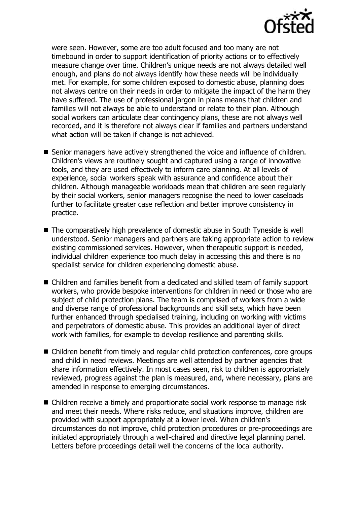

were seen. However, some are too adult focused and too many are not timebound in order to support identification of priority actions or to effectively measure change over time. Children's unique needs are not always detailed well enough, and plans do not always identify how these needs will be individually met. For example, for some children exposed to domestic abuse, planning does not always centre on their needs in order to mitigate the impact of the harm they have suffered. The use of professional jargon in plans means that children and families will not always be able to understand or relate to their plan. Although social workers can articulate clear contingency plans, these are not always well recorded, and it is therefore not always clear if families and partners understand what action will be taken if change is not achieved.

- Senior managers have actively strengthened the voice and influence of children. Children's views are routinely sought and captured using a range of innovative tools, and they are used effectively to inform care planning. At all levels of experience, social workers speak with assurance and confidence about their children. Although manageable workloads mean that children are seen regularly by their social workers, senior managers recognise the need to lower caseloads further to facilitate greater case reflection and better improve consistency in practice.
- The comparatively high prevalence of domestic abuse in South Tyneside is well understood. Senior managers and partners are taking appropriate action to review existing commissioned services. However, when therapeutic support is needed, individual children experience too much delay in accessing this and there is no specialist service for children experiencing domestic abuse.
- Children and families benefit from a dedicated and skilled team of family support workers, who provide bespoke interventions for children in need or those who are subject of child protection plans. The team is comprised of workers from a wide and diverse range of professional backgrounds and skill sets, which have been further enhanced through specialised training, including on working with victims and perpetrators of domestic abuse. This provides an additional layer of direct work with families, for example to develop resilience and parenting skills.
- Children benefit from timely and regular child protection conferences, core groups and child in need reviews. Meetings are well attended by partner agencies that share information effectively. In most cases seen, risk to children is appropriately reviewed, progress against the plan is measured, and, where necessary, plans are amended in response to emerging circumstances.
- Children receive a timely and proportionate social work response to manage risk and meet their needs. Where risks reduce, and situations improve, children are provided with support appropriately at a lower level. When children's circumstances do not improve, child protection procedures or pre-proceedings are initiated appropriately through a well-chaired and directive legal planning panel. Letters before proceedings detail well the concerns of the local authority.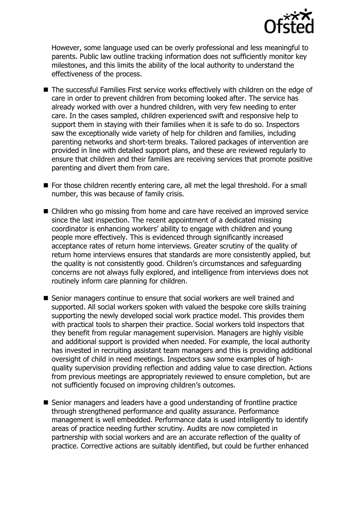

However, some language used can be overly professional and less meaningful to parents. Public law outline tracking information does not sufficiently monitor key milestones, and this limits the ability of the local authority to understand the effectiveness of the process.

- The successful Families First service works effectively with children on the edge of care in order to prevent children from becoming looked after. The service has already worked with over a hundred children, with very few needing to enter care. In the cases sampled, children experienced swift and responsive help to support them in staying with their families when it is safe to do so. Inspectors saw the exceptionally wide variety of help for children and families, including parenting networks and short-term breaks. Tailored packages of intervention are provided in line with detailed support plans, and these are reviewed regularly to ensure that children and their families are receiving services that promote positive parenting and divert them from care.
- For those children recently entering care, all met the legal threshold. For a small number, this was because of family crisis.
- Children who go missing from home and care have received an improved service since the last inspection. The recent appointment of a dedicated missing coordinator is enhancing workers' ability to engage with children and young people more effectively. This is evidenced through significantly increased acceptance rates of return home interviews. Greater scrutiny of the quality of return home interviews ensures that standards are more consistently applied, but the quality is not consistently good. Children's circumstances and safeguarding concerns are not always fully explored, and intelligence from interviews does not routinely inform care planning for children.
- Senior managers continue to ensure that social workers are well trained and supported. All social workers spoken with valued the bespoke core skills training supporting the newly developed social work practice model. This provides them with practical tools to sharpen their practice. Social workers told inspectors that they benefit from regular management supervision. Managers are highly visible and additional support is provided when needed. For example, the local authority has invested in recruiting assistant team managers and this is providing additional oversight of child in need meetings. Inspectors saw some examples of highquality supervision providing reflection and adding value to case direction. Actions from previous meetings are appropriately reviewed to ensure completion, but are not sufficiently focused on improving children's outcomes.
- Senior managers and leaders have a good understanding of frontline practice through strengthened performance and quality assurance. Performance management is well embedded. Performance data is used intelligently to identify areas of practice needing further scrutiny. Audits are now completed in partnership with social workers and are an accurate reflection of the quality of practice. Corrective actions are suitably identified, but could be further enhanced